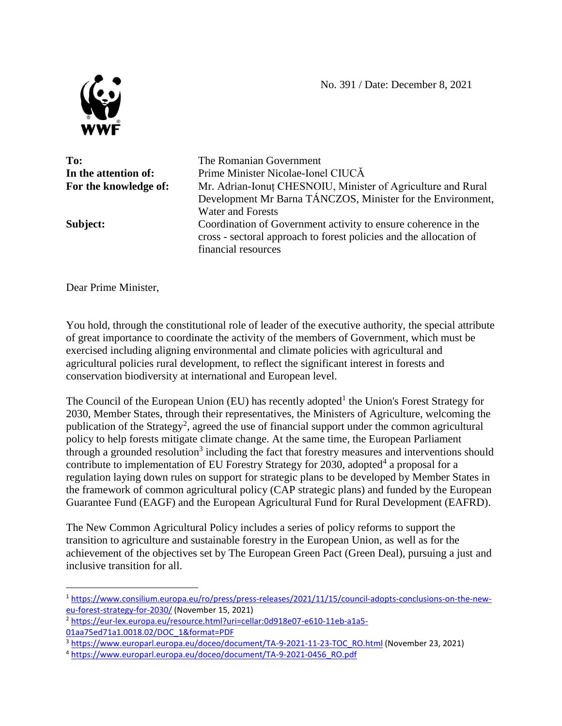

 $\overline{a}$ 

**To:** The Romanian Government **In the attention of:** Prime Minister Nicolae-Ionel CIUCA **For the knowledge of:** Mr. Adrian-Ionuț CHESNOIU, Minister of Agriculture and Rural Development Mr Barna TÁNCZOS, Minister for the Environment, Water and Forests **Subject:** Coordination of Government activity to ensure coherence in the cross - sectoral approach to forest policies and the allocation of financial resources

Dear Prime Minister,

You hold, through the constitutional role of leader of the executive authority, the special attribute of great importance to coordinate the activity of the members of Government, which must be exercised including aligning environmental and climate policies with agricultural and agricultural policies rural development, to reflect the significant interest in forests and conservation biodiversity at international and European level.

The Council of the European Union (EU) has recently adopted<sup>1</sup> the Union's Forest Strategy for 2030, Member States, through their representatives, the Ministers of Agriculture, welcoming the publication of the Strategy<sup>2</sup>, agreed the use of financial support under the common agricultural policy to help forests mitigate climate change. At the same time, the European Parliament through a grounded resolution<sup>3</sup> including the fact that forestry measures and interventions should contribute to implementation of EU Forestry Strategy for 2030, adopted<sup>4</sup> a proposal for a regulation laying down rules on support for strategic plans to be developed by Member States in the framework of common agricultural policy (CAP strategic plans) and funded by the European Guarantee Fund (EAGF) and the European Agricultural Fund for Rural Development (EAFRD).

The New Common Agricultural Policy includes a series of policy reforms to support the transition to agriculture and sustainable forestry in the European Union, as well as for the achievement of the objectives set by The European Green Pact (Green Deal), pursuing a just and inclusive transition for all.

<sup>1</sup> [https://www.consilium.europa.eu/ro/press/press-releases/2021/11/15/council-adopts-conclusions-on-the-new](https://www.consilium.europa.eu/ro/press/press-releases/2021/11/15/council-adopts-conclusions-on-the-new-eu-forest-strategy-for-2030/)[eu-forest-strategy-for-2030/](https://www.consilium.europa.eu/ro/press/press-releases/2021/11/15/council-adopts-conclusions-on-the-new-eu-forest-strategy-for-2030/) (November 15, 2021)

<sup>2</sup> [https://eur-lex.europa.eu/resource.html?uri=cellar:0d918e07-e610-11eb-a1a5-](https://eur-lex.europa.eu/resource.html?uri=cellar:0d918e07-e610-11eb-a1a5-01aa75ed71a1.0018.02/DOC_1&format=PDF) [01aa75ed71a1.0018.02/DOC\\_1&format=PDF](https://eur-lex.europa.eu/resource.html?uri=cellar:0d918e07-e610-11eb-a1a5-01aa75ed71a1.0018.02/DOC_1&format=PDF)

<sup>3</sup> [https://www.europarl.europa.eu/doceo/document/TA-9-2021-11-23-TOC\\_RO.html](https://www.europarl.europa.eu/doceo/document/TA-9-2021-11-23-TOC_RO.html) (November 23, 2021)

<sup>4</sup> [https://www.europarl.europa.eu/doceo/document/TA-9-2021-0456\\_RO.pdf](https://www.europarl.europa.eu/doceo/document/TA-9-2021-0456_RO.pdf)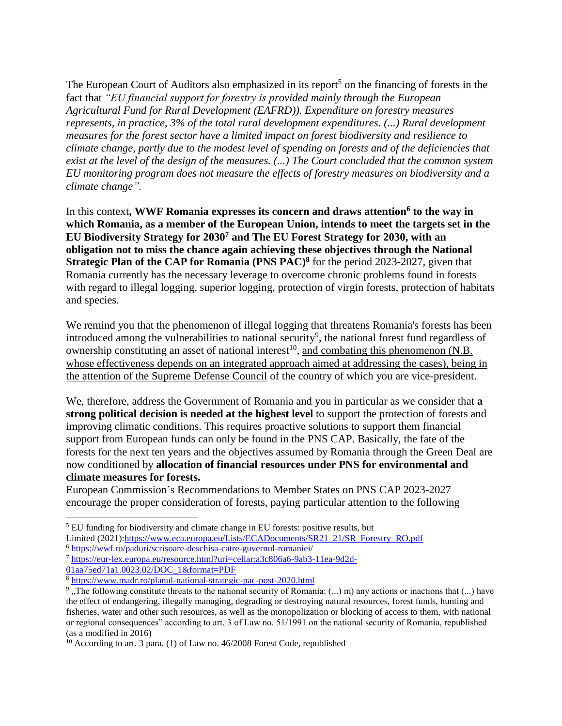The European Court of Auditors also emphasized in its report<sup>5</sup> on the financing of forests in the fact that *"EU financial support for forestry is provided mainly through the European Agricultural Fund for Rural Development (EAFRD)). Expenditure on forestry measures represents, in practice, 3% of the total rural development expenditures. (...) Rural development measures for the forest sector have a limited impact on forest biodiversity and resilience to climate change, partly due to the modest level of spending on forests and of the deficiencies that exist at the level of the design of the measures. (...) The Court concluded that the common system EU monitoring program does not measure the effects of forestry measures on biodiversity and a climate change".*

In this context**, WWF Romania expresses its concern and draws attention<sup>6</sup> to the way in which Romania, as a member of the European Union, intends to meet the targets set in the EU Biodiversity Strategy for 2030<sup>7</sup> and The EU Forest Strategy for 2030, with an obligation not to miss the chance again achieving these objectives through the National Strategic Plan of the CAP for Romania (PNS PAC)<sup>8</sup>** for the period 2023-2027, given that Romania currently has the necessary leverage to overcome chronic problems found in forests with regard to illegal logging, superior logging, protection of virgin forests, protection of habitats and species.

We remind you that the phenomenon of illegal logging that threatens Romania's forests has been introduced among the vulnerabilities to national security<sup>9</sup>, the national forest fund regardless of ownership constituting an asset of national interest<sup>10</sup>, and combating this phenomenon (N.B. whose effectiveness depends on an integrated approach aimed at addressing the cases), being in the attention of the Supreme Defense Council of the country of which you are vice-president.

We, therefore, address the Government of Romania and you in particular as we consider that **a strong political decision is needed at the highest level** to support the protection of forests and improving climatic conditions. This requires proactive solutions to support them financial support from European funds can only be found in the PNS CAP. Basically, the fate of the forests for the next ten years and the objectives assumed by Romania through the Green Deal are now conditioned by **allocation of financial resources under PNS for environmental and climate measures for forests.**

European Commission's Recommendations to Member States on PNS CAP 2023-2027 encourage the proper consideration of forests, paying particular attention to the following

 $\overline{\phantom{a}}$ 

<sup>5</sup> EU funding for biodiversity and climate change in EU forests: positive results, but

Limited (2021)[:https://www.eca.europa.eu/Lists/ECADocuments/SR21\\_21/SR\\_Forestry\\_RO.pdf](https://www.eca.europa.eu/Lists/ECADocuments/SR21_21/SR_Forestry_RO.pdf)

<sup>6</sup> <https://wwf.ro/paduri/scrisoare-deschisa-catre-guvernul-romaniei/>

<sup>7</sup> [https://eur-lex.europa.eu/resource.html?uri=cellar:a3c806a6-9ab3-11ea-9d2d-](https://eur-lex.europa.eu/resource.html?uri=cellar:a3c806a6-9ab3-11ea-9d2d-01aa75ed71a1.0023.02/DOC_1&format=PDF)

[<sup>01</sup>aa75ed71a1.0023.02/DOC\\_1&format=PDF](https://eur-lex.europa.eu/resource.html?uri=cellar:a3c806a6-9ab3-11ea-9d2d-01aa75ed71a1.0023.02/DOC_1&format=PDF)

<sup>8</sup> <https://www.madr.ro/planul-national-strategic-pac-post-2020.html>

<sup>&</sup>lt;sup>9</sup>, The following constitute threats to the national security of Romania:  $(...)$  m) any actions or inactions that  $(...)$  have the effect of endangering, illegally managing, degrading or destroying natural resources, forest funds, hunting and fisheries, water and other such resources, as well as the monopolization or blocking of access to them, with national or regional consequences" according to art. 3 of Law no. 51/1991 on the national security of Romania, republished (as a modified in 2016)

 $10$  According to art. 3 para. (1) of Law no. 46/2008 Forest Code, republished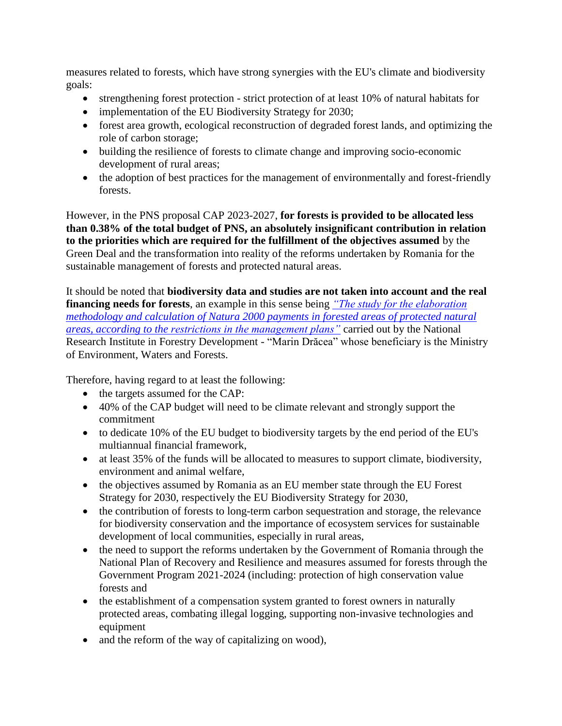measures related to forests, which have strong synergies with the EU's climate and biodiversity goals:

- strengthening forest protection strict protection of at least 10% of natural habitats for
- implementation of the EU Biodiversity Strategy for 2030;
- forest area growth, ecological reconstruction of degraded forest lands, and optimizing the role of carbon storage;
- building the resilience of forests to climate change and improving socio-economic development of rural areas;
- the adoption of best practices for the management of environmentally and forest-friendly forests.

However, in the PNS proposal CAP 2023-2027, **for forests is provided to be allocated less than 0.38% of the total budget of PNS, an absolutely insignificant contribution in relation to the priorities which are required for the fulfillment of the objectives assumed** by the Green Deal and the transformation into reality of the reforms undertaken by Romania for the sustainable management of forests and protected natural areas.

It should be noted that **biodiversity data and studies are not taken into account and the real financing needs for forests**, an example in this sense being *["The study for the elaboration](https://wwf.ro/app/uploads/2021/12/WWF-Address-to-the-Ministry-of-Environment-regarding-the-INCDS-Study.pdf) [methodology and calculation of Natura 2000 payments in forested areas of protected natural](https://wwf.ro/app/uploads/2021/12/WWF-Address-to-the-Ministry-of-Environment-regarding-the-INCDS-Study.pdf)  [areas, according to the restrictions in the management plans"](https://wwf.ro/app/uploads/2021/12/WWF-Address-to-the-Ministry-of-Environment-regarding-the-INCDS-Study.pdf)* carried out by the National Research Institute in Forestry Development - "Marin Drăcea" whose beneficiary is the Ministry of Environment, Waters and Forests.

Therefore, having regard to at least the following:

- the targets assumed for the CAP:
- 40% of the CAP budget will need to be climate relevant and strongly support the commitment
- to dedicate 10% of the EU budget to biodiversity targets by the end period of the EU's multiannual financial framework,
- at least 35% of the funds will be allocated to measures to support climate, biodiversity, environment and animal welfare,
- the objectives assumed by Romania as an EU member state through the EU Forest Strategy for 2030, respectively the EU Biodiversity Strategy for 2030,
- the contribution of forests to long-term carbon sequestration and storage, the relevance for biodiversity conservation and the importance of ecosystem services for sustainable development of local communities, especially in rural areas,
- the need to support the reforms undertaken by the Government of Romania through the National Plan of Recovery and Resilience and measures assumed for forests through the Government Program 2021-2024 (including: protection of high conservation value forests and
- the establishment of a compensation system granted to forest owners in naturally protected areas, combating illegal logging, supporting non-invasive technologies and equipment
- and the reform of the way of capitalizing on wood),